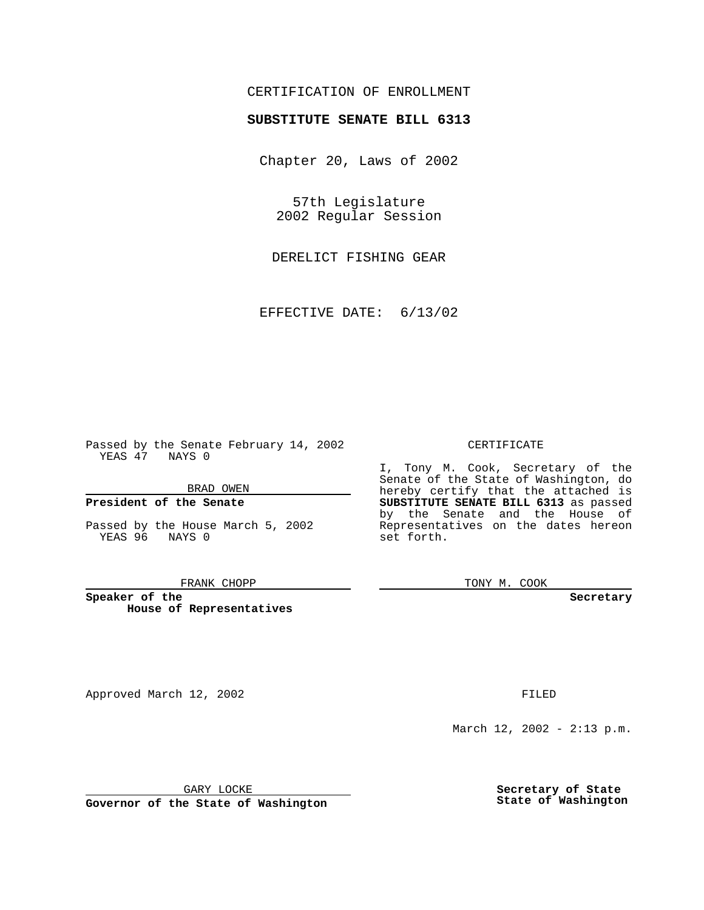# CERTIFICATION OF ENROLLMENT

# **SUBSTITUTE SENATE BILL 6313**

Chapter 20, Laws of 2002

57th Legislature 2002 Regular Session

DERELICT FISHING GEAR

EFFECTIVE DATE: 6/13/02

Passed by the Senate February 14, 2002 YEAS 47 NAYS 0

### BRAD OWEN

### **President of the Senate**

Passed by the House March 5, 2002 YEAS 96 NAYS 0

#### FRANK CHOPP

**Speaker of the House of Representatives**

Approved March 12, 2002 **FILED** 

### CERTIFICATE

I, Tony M. Cook, Secretary of the Senate of the State of Washington, do hereby certify that the attached is **SUBSTITUTE SENATE BILL 6313** as passed by the Senate and the House of Representatives on the dates hereon set forth.

TONY M. COOK

**Secretary**

March 12, 2002 - 2:13 p.m.

GARY LOCKE

**Governor of the State of Washington**

**Secretary of State State of Washington**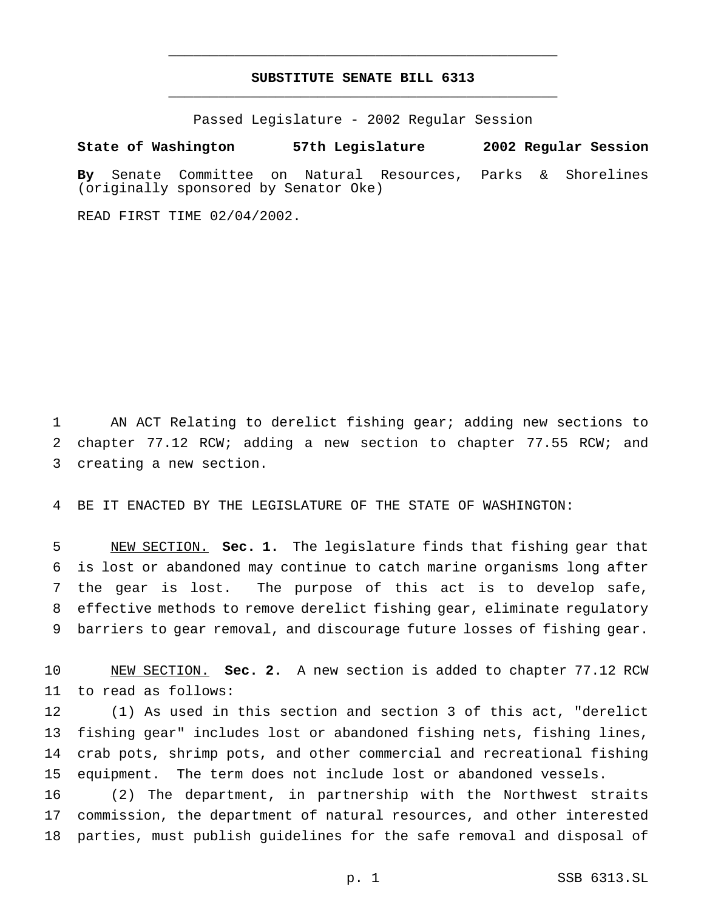# **SUBSTITUTE SENATE BILL 6313** \_\_\_\_\_\_\_\_\_\_\_\_\_\_\_\_\_\_\_\_\_\_\_\_\_\_\_\_\_\_\_\_\_\_\_\_\_\_\_\_\_\_\_\_\_\_\_

\_\_\_\_\_\_\_\_\_\_\_\_\_\_\_\_\_\_\_\_\_\_\_\_\_\_\_\_\_\_\_\_\_\_\_\_\_\_\_\_\_\_\_\_\_\_\_

Passed Legislature - 2002 Regular Session

**State of Washington 57th Legislature 2002 Regular Session**

**By** Senate Committee on Natural Resources, Parks & Shorelines (originally sponsored by Senator Oke)

READ FIRST TIME 02/04/2002.

 AN ACT Relating to derelict fishing gear; adding new sections to chapter 77.12 RCW; adding a new section to chapter 77.55 RCW; and creating a new section.

BE IT ENACTED BY THE LEGISLATURE OF THE STATE OF WASHINGTON:

 NEW SECTION. **Sec. 1.** The legislature finds that fishing gear that is lost or abandoned may continue to catch marine organisms long after the gear is lost. The purpose of this act is to develop safe, effective methods to remove derelict fishing gear, eliminate regulatory barriers to gear removal, and discourage future losses of fishing gear.

 NEW SECTION. **Sec. 2.** A new section is added to chapter 77.12 RCW to read as follows:

 (1) As used in this section and section 3 of this act, "derelict fishing gear" includes lost or abandoned fishing nets, fishing lines, crab pots, shrimp pots, and other commercial and recreational fishing equipment. The term does not include lost or abandoned vessels.

 (2) The department, in partnership with the Northwest straits commission, the department of natural resources, and other interested parties, must publish guidelines for the safe removal and disposal of